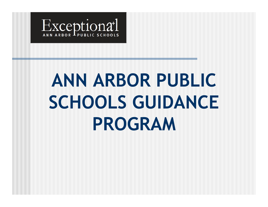

# **ANN ARBOR PUBLIC SCHOOLS GUIDANCE PROGRAM**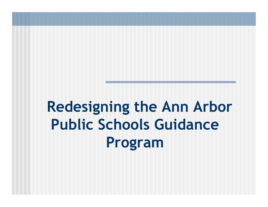**Redesigning the Ann Arbor Public Schools Guidance Program**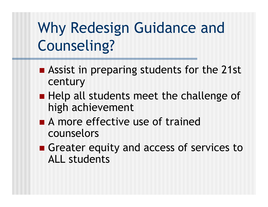## Why Redesign Guidance and Counseling?

- **Assist in preparing students for the 21st** century
- Help all students meet the challenge of high achievement
- A more effective use of trained counselors
- Greater equity and access of services to ALL students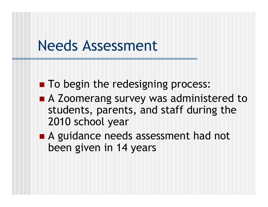#### Needs Assessment

- **To begin the redesigning process:**
- A Zoomerang survey was administered to students, parents, and staff during the 2010 school year
- A guidance needs assessment had not been given in 14 years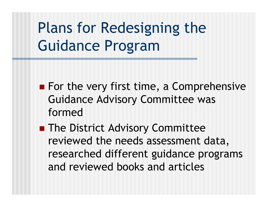### Plans for Redesigning the Guidance Program

- For the very first time, a Comprehensive Guidance Advisory Committee was formed
- **The District Advisory Committee** reviewed the needs assessment data, researched different guidance programs and reviewed books and articles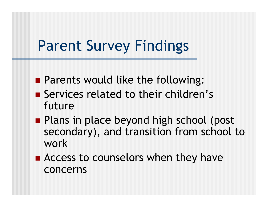#### Parent Survey Findings

- **Parents would like the following:**
- Services related to their children's future
- **Plans in place beyond high school (post** secondary), and transition from school to work
- Access to counselors when they have concerns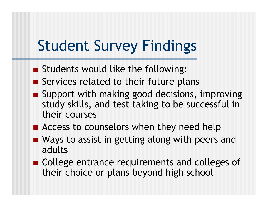#### Student Survey Findings

- **Students would like the following:**
- Services related to their future plans
- Support with making good decisions, improving study skills, and test taking to be successful in their courses
- **Access to counselors when they need help**
- Ways to assist in getting along with peers and adults
- College entrance requirements and colleges of their choice or plans beyond high school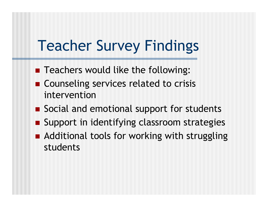#### Teacher Survey Findings

- **Teachers would like the following:**
- Counseling services related to crisis intervention
- Social and emotional support for students
- **Support in identifying classroom strategies**
- Additional tools for working with struggling students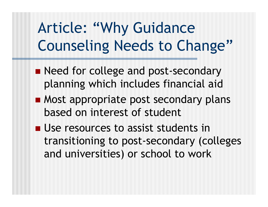### Article: "Why Guidance Counseling Needs to Change"

- Reed for college and post-secondary planning which includes financial aid
- **Most appropriate post secondary plans** based on interest of student
- **Use resources to assist students in** transitioning to post-secondary (colleges and universities) or school to work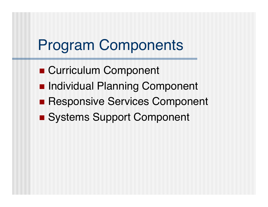#### Program Components

- Curriculum Component
- **Individual Planning Component**
- **Responsive Services Component**
- Systems Support Component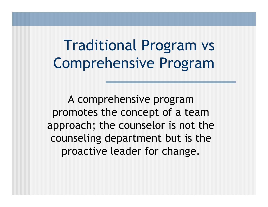Traditional Program vs Comprehensive Program

A comprehensive program promotes the concept of a team approach; the counselor is not the counseling department but is the proactive leader for change.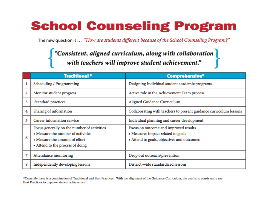#### **School Counseling Program**

The new question is ... "How are students different because of the School Counseling Program?"

# $\left\{ \begin{array}{ll} \text{``Consistent, aligned curriculum, along with collaboration}\\ \text{with teachers will improve student achievement.''} \end{array} \right\}$

|   | <b>Traditional*</b>                                                                                                                                     | <b>Comprehensive*</b>                                                                                                     |
|---|---------------------------------------------------------------------------------------------------------------------------------------------------------|---------------------------------------------------------------------------------------------------------------------------|
|   | Scheduling / Programming                                                                                                                                | Designing Individual student academic programs                                                                            |
| 2 | Monitor student progress                                                                                                                                | Active role in the Achievement Team process                                                                               |
| 3 | Standard practices                                                                                                                                      | Aligned Guidance Curriculum                                                                                               |
| 4 | Sharing of information                                                                                                                                  | Collaborating with teachers to present guidance curriculum lessons                                                        |
| 5 | Career information service                                                                                                                              | Individual planning and career development                                                                                |
| 6 | Focus generally on the number of activities<br>• Measure the number of activities<br>• Measure the amount of effort<br>• Attend to the process of doing | Focus on outcome and improved results<br>• Measures impact related to goals<br>• Attend to goals, objectives and outcomes |
| 7 | Attendance monitoring                                                                                                                                   | Drop out outreach/prevention                                                                                              |
| 8 | Independently developing lessons                                                                                                                        | District-wide standardized lessons                                                                                        |

\*Currently there is a combination of Traditional and Best Practices. With the alignment of the Guidance Curriculum, the goal is to consistently use Best Practices to improve student achievement.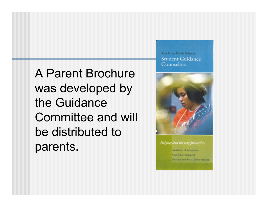A Parent Brochure was developed by the Guidance Committee and will be distributed to parents.

Ann Arbor Public Schools **Student Guidance** Counselors



Helping lead the way forward in Academic Development

Career Development Personal and Social Development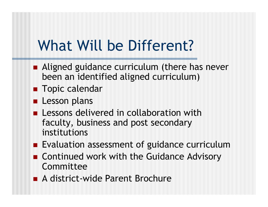#### What Will be Different?

- Aligned guidance curriculum (there has never been an identified aligned curriculum)
- **Topic calendar**
- **Lesson plans**
- **Lessons delivered in collaboration with** faculty, business and post secondary institutions
- **Evaluation assessment of guidance curriculum**
- Continued work with the Guidance Advisory Committee
- A district-wide Parent Brochure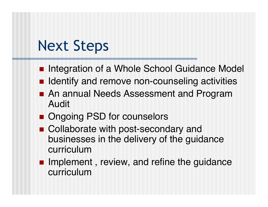#### Next Steps

- **Integration of a Whole School Guidance Model**
- Identify and remove non-counseling activities
- **An annual Needs Assessment and Program** Audit
- Ongoing PSD for counselors
- Collaborate with post-secondary and businesses in the delivery of the guidance curriculum
- **Implement, review, and refine the guidance** curriculum